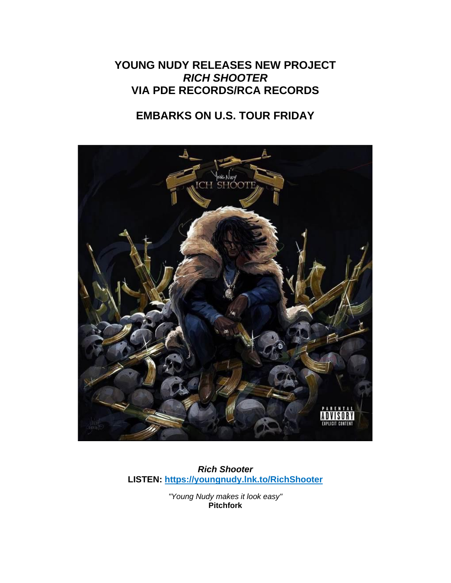## **YOUNG NUDY RELEASES NEW PROJECT** *RICH SHOOTER* **VIA PDE RECORDS/RCA RECORDS**

# **EMBARKS ON U.S. TOUR FRIDAY**



*Rich Shooter* **LISTEN: [https://youngnudy.lnk.to/RichShooter](https://eur01.safelinks.protection.outlook.com/?url=https%3A%2F%2Fyoungnudy.lnk.to%2FRichShooter&data=04%7C01%7Cdanielle.gray.sme%40rcarecords.com%7C56c29d6b9d6f4dd22cf508d95763e7a4%7Cf0aff3b791a54aaeaf71c63e1dda2049%7C0%7C0%7C637636908877656573%7CUnknown%7CTWFpbGZsb3d8eyJWIjoiMC4wLjAwMDAiLCJQIjoiV2luMzIiLCJBTiI6Ik1haWwiLCJXVCI6Mn0%3D%7C1000&sdata=0HOH8CtqCKAc%2FwKlaE47H2kVsnOjM3ks2X%2BltuGuqmM%3D&reserved=0)**

> *"Young Nudy makes it look easy"* **Pitchfork**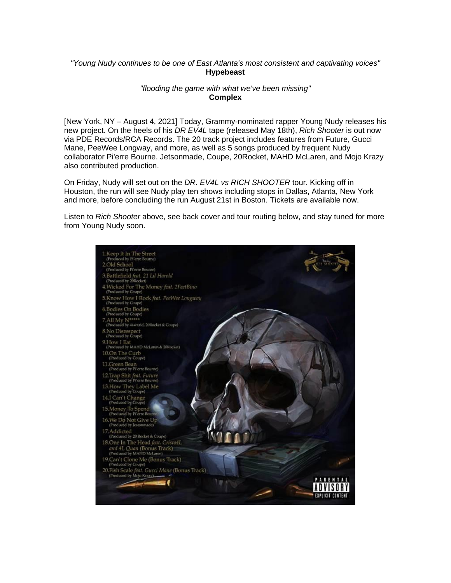### *"Young Nudy continues to be one of East Atlanta's most consistent and captivating voices"* **Hypebeast**

### *"flooding the game with what we've been missing"* **Complex**

[New York, NY – August 4, 2021] Today, Grammy-nominated rapper Young Nudy releases his new project. On the heels of his *DR EV4L* tape (released May 18th), *Rich Shooter* is out now via PDE Records/RCA Records. The 20 track project includes features from Future, Gucci Mane, PeeWee Longway, and more, as well as 5 songs produced by frequent Nudy collaborator Pi'erre Bourne. Jetsonmade, Coupe, 20Rocket, MAHD McLaren, and Mojo Krazy also contributed production.

On Friday, Nudy will set out on the *DR. EV4L vs RICH SHOOTER* tour. Kicking off in Houston, the run will see Nudy play ten shows including stops in Dallas, Atlanta, New York and more, before concluding the run August 21st in Boston. Tickets are available now.

Listen to *Rich Shooter* above, see back cover and tour routing below, and stay tuned for more from Young Nudy soon.

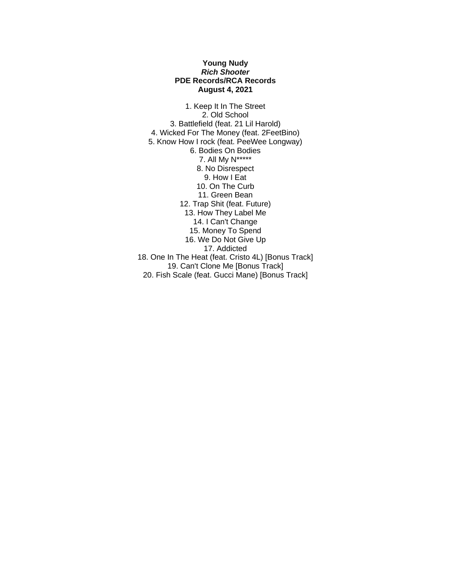#### **Young Nudy** *Rich Shooter* **PDE Records/RCA Records August 4, 2021**

1. Keep It In The Street 2. Old School 3. Battlefield (feat. 21 Lil Harold) 4. Wicked For The Money (feat. 2FeetBino) 5. Know How I rock (feat. PeeWee Longway) 6. Bodies On Bodies 7. All My N\*\*\*\*\* 8. No Disrespect 9. How I Eat 10. On The Curb 11. Green Bean 12. Trap Shit (feat. Future) 13. How They Label Me 14. I Can't Change 15. Money To Spend 16. We Do Not Give Up 17. Addicted 18. One In The Heat (feat. Cristo 4L) [Bonus Track] 19. Can't Clone Me [Bonus Track] 20. Fish Scale (feat. Gucci Mane) [Bonus Track]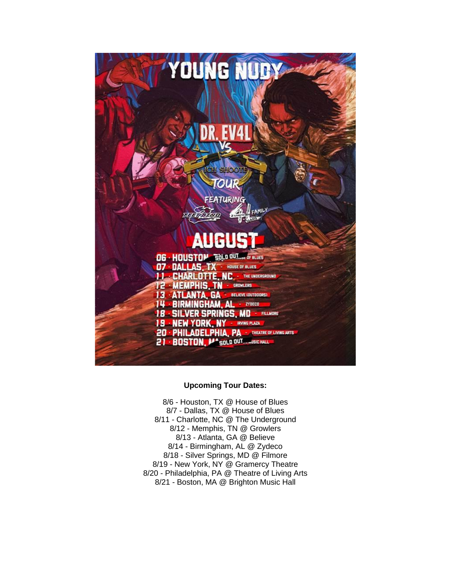

#### **Upcoming Tour Dates:**

8/6 - Houston, TX @ House of Blues 8/7 - Dallas, TX @ House of Blues 8/11 - Charlotte, NC @ The Underground 8/12 - Memphis, TN @ Growlers 8/13 - Atlanta, GA @ Believe 8/14 - Birmingham, AL @ Zydeco 8/18 - Silver Springs, MD @ Filmore 8/19 - New York, NY @ Gramercy Theatre 8/20 - Philadelphia, PA @ Theatre of Living Arts 8/21 - Boston, MA @ Brighton Music Hall